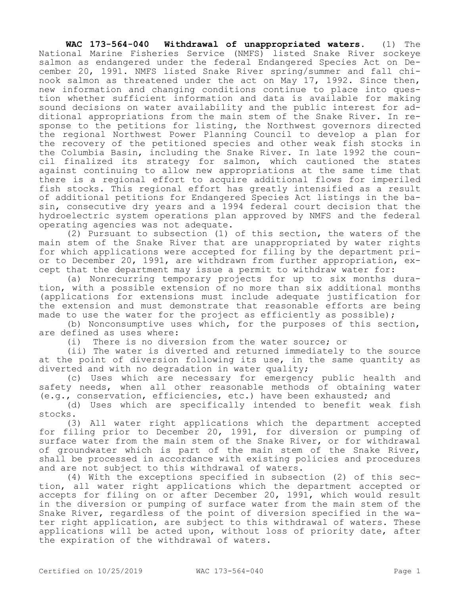**WAC 173-564-040 Withdrawal of unappropriated waters.** (1) The National Marine Fisheries Service (NMFS) listed Snake River sockeye salmon as endangered under the federal Endangered Species Act on December 20, 1991. NMFS listed Snake River spring/summer and fall chinook salmon as threatened under the act on May 17, 1992. Since then, new information and changing conditions continue to place into question whether sufficient information and data is available for making sound decisions on water availability and the public interest for additional appropriations from the main stem of the Snake River. In response to the petitions for listing, the Northwest governors directed the regional Northwest Power Planning Council to develop a plan for the recovery of the petitioned species and other weak fish stocks in the Columbia Basin, including the Snake River. In late 1992 the council finalized its strategy for salmon, which cautioned the states against continuing to allow new appropriations at the same time that there is a regional effort to acquire additional flows for imperiled fish stocks. This regional effort has greatly intensified as a result of additional petitions for Endangered Species Act listings in the basin, consecutive dry years and a 1994 federal court decision that the hydroelectric system operations plan approved by NMFS and the federal operating agencies was not adequate.

(2) Pursuant to subsection (1) of this section, the waters of the main stem of the Snake River that are unappropriated by water rights for which applications were accepted for filing by the department prior to December 20, 1991, are withdrawn from further appropriation, except that the department may issue a permit to withdraw water for:

(a) Nonrecurring temporary projects for up to six months duration, with a possible extension of no more than six additional months (applications for extensions must include adequate justification for the extension and must demonstrate that reasonable efforts are being made to use the water for the project as efficiently as possible);

(b) Nonconsumptive uses which, for the purposes of this section, are defined as uses where:

(i) There is no diversion from the water source; or

(ii) The water is diverted and returned immediately to the source at the point of diversion following its use, in the same quantity as diverted and with no degradation in water quality;

(c) Uses which are necessary for emergency public health and safety needs, when all other reasonable methods of obtaining water (e.g., conservation, efficiencies, etc.) have been exhausted; and

(d) Uses which are specifically intended to benefit weak fish stocks.

(3) All water right applications which the department accepted for filing prior to December 20, 1991, for diversion or pumping of surface water from the main stem of the Snake River, or for withdrawal of groundwater which is part of the main stem of the Snake River, shall be processed in accordance with existing policies and procedures and are not subject to this withdrawal of waters.

(4) With the exceptions specified in subsection (2) of this section, all water right applications which the department accepted or accepts for filing on or after December 20, 1991, which would result in the diversion or pumping of surface water from the main stem of the Snake River, regardless of the point of diversion specified in the water right application, are subject to this withdrawal of waters. These applications will be acted upon, without loss of priority date, after the expiration of the withdrawal of waters.